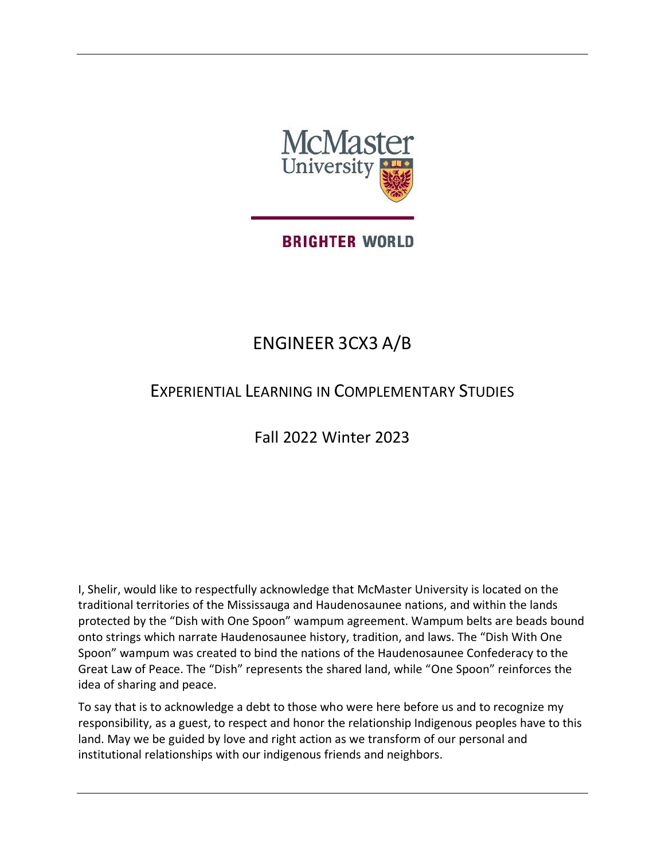

## **BRIGHTER WORLD**

# ENGINEER 3CX3 A/B

## EXPERIENTIAL LEARNING IN COMPLEMENTARY STUDIES

Fall 2022 Winter 2023

I, Shelir, would like to respectfully acknowledge that McMaster University is located on the traditional territories of the Mississauga and Haudenosaunee nations, and within the lands protected by the "Dish with One Spoon" wampum agreement. Wampum belts are beads bound onto strings which narrate Haudenosaunee history, tradition, and laws. The "Dish With One Spoon" wampum was created to bind the nations of the Haudenosaunee Confederacy to the Great Law of Peace. The "Dish" represents the shared land, while "One Spoon" reinforces the idea of sharing and peace.

To say that is to acknowledge a debt to those who were here before us and to recognize my responsibility, as a guest, to respect and honor the relationship Indigenous peoples have to this land. May we be guided by love and right action as we transform of our personal and institutional relationships with our indigenous friends and neighbors.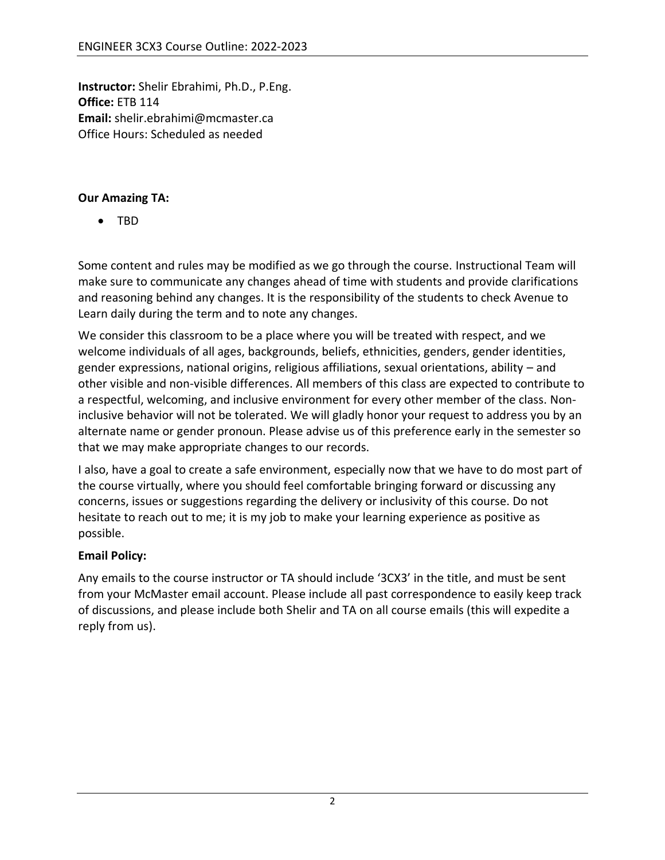**Instructor:** Shelir Ebrahimi, Ph.D., P.Eng. **Office:** ETB 114 **Email:** [shelir.ebrahimi@mcmaster.ca](mailto:shelir.ebrahimi@mcmaster.ca) Office Hours: Scheduled as needed

#### **Our Amazing TA:**

• TBD

Some content and rules may be modified as we go through the course. Instructional Team will make sure to communicate any changes ahead of time with students and provide clarifications and reasoning behind any changes. It is the responsibility of the students to check Avenue to Learn daily during the term and to note any changes.

We consider this classroom to be a place where you will be treated with respect, and we welcome individuals of all ages, backgrounds, beliefs, ethnicities, genders, gender identities, gender expressions, national origins, religious affiliations, sexual orientations, ability – and other visible and non-visible differences. All members of this class are expected to contribute to a respectful, welcoming, and inclusive environment for every other member of the class. Noninclusive behavior will not be tolerated. We will gladly honor your request to address you by an alternate name or gender pronoun. Please advise us of this preference early in the semester so that we may make appropriate changes to our records.

I also, have a goal to create a safe environment, especially now that we have to do most part of the course virtually, where you should feel comfortable bringing forward or discussing any concerns, issues or suggestions regarding the delivery or inclusivity of this course. Do not hesitate to reach out to me; it is my job to make your learning experience as positive as possible.

## **Email Policy:**

Any emails to the course instructor or TA should include '3CX3' in the title, and must be sent from your McMaster email account. Please include all past correspondence to easily keep track of discussions, and please include both Shelir and TA on all course emails (this will expedite a reply from us).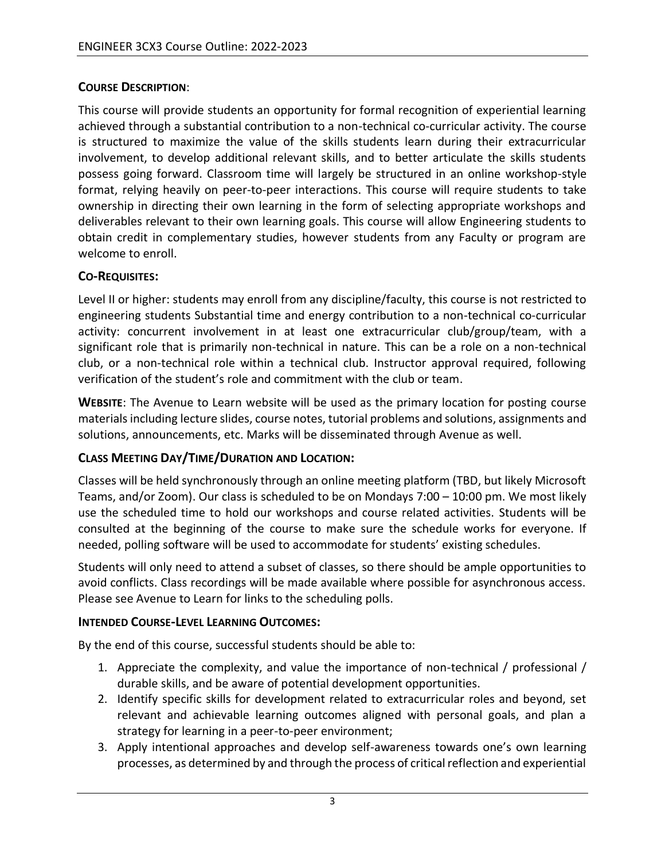## **COURSE DESCRIPTION**:

This course will provide students an opportunity for formal recognition of experiential learning achieved through a substantial contribution to a non-technical co-curricular activity. The course is structured to maximize the value of the skills students learn during their extracurricular involvement, to develop additional relevant skills, and to better articulate the skills students possess going forward. Classroom time will largely be structured in an online workshop-style format, relying heavily on peer-to-peer interactions. This course will require students to take ownership in directing their own learning in the form of selecting appropriate workshops and deliverables relevant to their own learning goals. This course will allow Engineering students to obtain credit in complementary studies, however students from any Faculty or program are welcome to enroll.

## **CO-REQUISITES:**

Level II or higher: students may enroll from any discipline/faculty, this course is not restricted to engineering students Substantial time and energy contribution to a non-technical co-curricular activity: concurrent involvement in at least one extracurricular club/group/team, with a significant role that is primarily non-technical in nature. This can be a role on a non-technical club, or a non-technical role within a technical club. Instructor approval required, following verification of the student's role and commitment with the club or team.

**WEBSITE**: The Avenue to Learn website will be used as the primary location for posting course materials including lecture slides, course notes, tutorial problems and solutions, assignments and solutions, announcements, etc. Marks will be disseminated through Avenue as well.

## **CLASS MEETING DAY/TIME/DURATION AND LOCATION:**

Classes will be held synchronously through an online meeting platform (TBD, but likely Microsoft Teams, and/or Zoom). Our class is scheduled to be on Mondays 7:00 – 10:00 pm. We most likely use the scheduled time to hold our workshops and course related activities. Students will be consulted at the beginning of the course to make sure the schedule works for everyone. If needed, polling software will be used to accommodate for students' existing schedules.

Students will only need to attend a subset of classes, so there should be ample opportunities to avoid conflicts. Class recordings will be made available where possible for asynchronous access. Please see Avenue to Learn for links to the scheduling polls.

## **INTENDED COURSE-LEVEL LEARNING OUTCOMES:**

By the end of this course, successful students should be able to:

- 1. Appreciate the complexity, and value the importance of non-technical / professional / durable skills, and be aware of potential development opportunities.
- 2. Identify specific skills for development related to extracurricular roles and beyond, set relevant and achievable learning outcomes aligned with personal goals, and plan a strategy for learning in a peer-to-peer environment;
- 3. Apply intentional approaches and develop self-awareness towards one's own learning processes, as determined by and through the process of critical reflection and experiential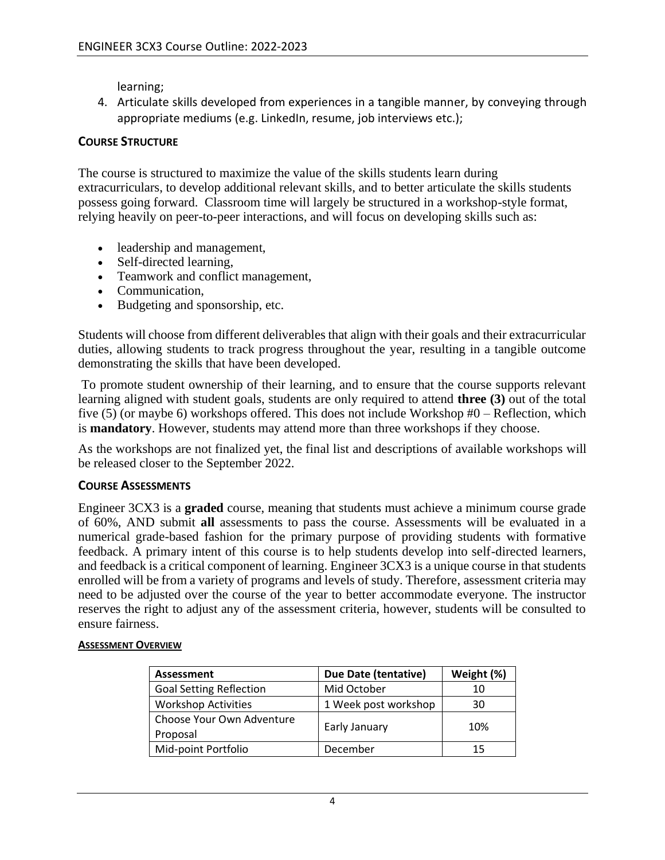learning;

4. Articulate skills developed from experiences in a tangible manner, by conveying through appropriate mediums (e.g. LinkedIn, resume, job interviews etc.);

## **COURSE STRUCTURE**

The course is structured to maximize the value of the skills students learn during extracurriculars, to develop additional relevant skills, and to better articulate the skills students possess going forward. Classroom time will largely be structured in a workshop-style format, relying heavily on peer-to-peer interactions, and will focus on developing skills such as:

- leadership and management,
- Self-directed learning.
- Teamwork and conflict management,
- Communication,
- Budgeting and sponsorship, etc.

Students will choose from different deliverables that align with their goals and their extracurricular duties, allowing students to track progress throughout the year, resulting in a tangible outcome demonstrating the skills that have been developed.

To promote student ownership of their learning, and to ensure that the course supports relevant learning aligned with student goals, students are only required to attend **three (3)** out of the total five (5) (or maybe 6) workshops offered. This does not include Workshop #0 – Reflection, which is **mandatory**. However, students may attend more than three workshops if they choose.

As the workshops are not finalized yet, the final list and descriptions of available workshops will be released closer to the September 2022.

## **COURSE ASSESSMENTS**

Engineer 3CX3 is a **graded** course, meaning that students must achieve a minimum course grade of 60%, AND submit **all** assessments to pass the course. Assessments will be evaluated in a numerical grade-based fashion for the primary purpose of providing students with formative feedback. A primary intent of this course is to help students develop into self-directed learners, and feedback is a critical component of learning. Engineer 3CX3 is a unique course in that students enrolled will be from a variety of programs and levels of study. Therefore, assessment criteria may need to be adjusted over the course of the year to better accommodate everyone. The instructor reserves the right to adjust any of the assessment criteria, however, students will be consulted to ensure fairness.

#### **ASSESSMENT OVERVIEW**

| Assessment                     | Due Date (tentative) | Weight (%) |
|--------------------------------|----------------------|------------|
| <b>Goal Setting Reflection</b> | Mid October          | 10         |
| <b>Workshop Activities</b>     | 1 Week post workshop | 30         |
| Choose Your Own Adventure      | Early January        | 10%        |
| Proposal                       |                      |            |
| Mid-point Portfolio            | December             | 15         |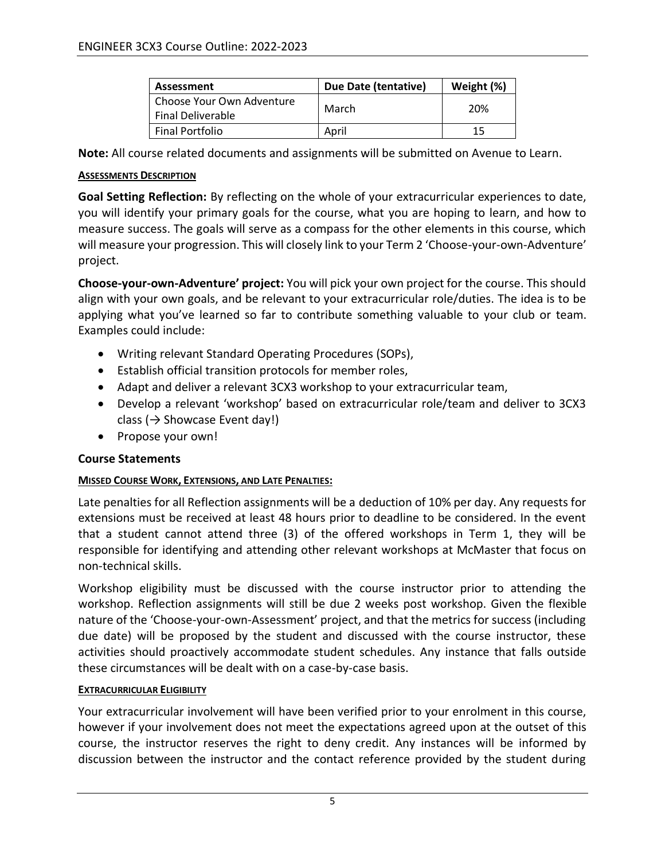| Assessment                                            | Due Date (tentative) | Weight (%) |
|-------------------------------------------------------|----------------------|------------|
| Choose Your Own Adventure<br><b>Final Deliverable</b> | March                | 20%        |
| <b>Final Portfolio</b>                                | April                | 15         |

**Note:** All course related documents and assignments will be submitted on Avenue to Learn.

#### **ASSESSMENTS DESCRIPTION**

**Goal Setting Reflection:** By reflecting on the whole of your extracurricular experiences to date, you will identify your primary goals for the course, what you are hoping to learn, and how to measure success. The goals will serve as a compass for the other elements in this course, which will measure your progression. This will closely link to your Term 2 'Choose-your-own-Adventure' project.

**Choose-your-own-Adventure' project:** You will pick your own project for the course. This should align with your own goals, and be relevant to your extracurricular role/duties. The idea is to be applying what you've learned so far to contribute something valuable to your club or team. Examples could include:

- Writing relevant Standard Operating Procedures (SOPs),
- Establish official transition protocols for member roles,
- Adapt and deliver a relevant 3CX3 workshop to your extracurricular team,
- Develop a relevant 'workshop' based on extracurricular role/team and deliver to 3CX3 class ( $\rightarrow$  Showcase Event day!)
- Propose your own!

#### **Course Statements**

#### **MISSED COURSE WORK, EXTENSIONS, AND LATE PENALTIES:**

Late penalties for all Reflection assignments will be a deduction of 10% per day. Any requests for extensions must be received at least 48 hours prior to deadline to be considered. In the event that a student cannot attend three (3) of the offered workshops in Term 1, they will be responsible for identifying and attending other relevant workshops at McMaster that focus on non-technical skills.

Workshop eligibility must be discussed with the course instructor prior to attending the workshop. Reflection assignments will still be due 2 weeks post workshop. Given the flexible nature of the 'Choose-your-own-Assessment' project, and that the metrics for success (including due date) will be proposed by the student and discussed with the course instructor, these activities should proactively accommodate student schedules. Any instance that falls outside these circumstances will be dealt with on a case-by-case basis.

#### **EXTRACURRICULAR ELIGIBILITY**

Your extracurricular involvement will have been verified prior to your enrolment in this course, however if your involvement does not meet the expectations agreed upon at the outset of this course, the instructor reserves the right to deny credit. Any instances will be informed by discussion between the instructor and the contact reference provided by the student during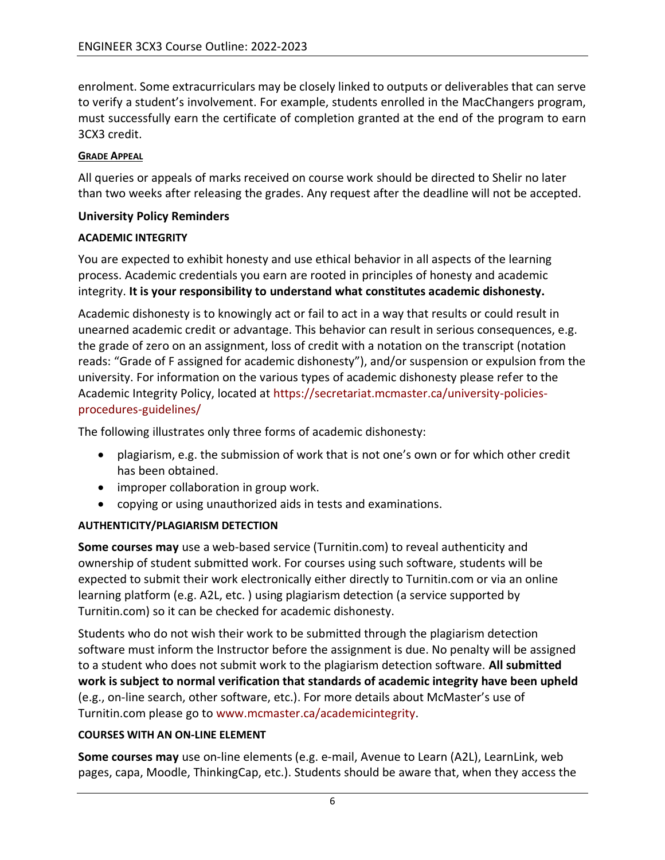enrolment. Some extracurriculars may be closely linked to outputs or deliverables that can serve to verify a student's involvement. For example, students enrolled in the MacChangers program, must successfully earn the certificate of completion granted at the end of the program to earn 3CX3 credit.

#### **GRADE APPEAL**

All queries or appeals of marks received on course work should be directed to Shelir no later than two weeks after releasing the grades. Any request after the deadline will not be accepted.

#### **University Policy Reminders**

#### **ACADEMIC INTEGRITY**

You are expected to exhibit honesty and use ethical behavior in all aspects of the learning process. Academic credentials you earn are rooted in principles of honesty and academic integrity. **It is your responsibility to understand what constitutes academic dishonesty.**

Academic dishonesty is to knowingly act or fail to act in a way that results or could result in unearned academic credit or advantage. This behavior can result in serious consequences, e.g. the grade of zero on an assignment, loss of credit with a notation on the transcript (notation reads: "Grade of F assigned for academic dishonesty"), and/or suspension or expulsion from the university. For information on the various types of academic dishonesty please refer to the Academic Integrity Policy, located at [https://secretariat.mcmaster.ca/university-policies](https://secretariat.mcmaster.ca/university-policies-procedures-guidelines/)[procedures-guidelines/](https://secretariat.mcmaster.ca/university-policies-procedures-guidelines/)

The following illustrates only three forms of academic dishonesty:

- plagiarism, e.g. the submission of work that is not one's own or for which other credit has been obtained.
- improper collaboration in group work.
- copying or using unauthorized aids in tests and examinations.

## **AUTHENTICITY/PLAGIARISM DETECTION**

**Some courses may** use a web-based service (Turnitin.com) to reveal authenticity and ownership of student submitted work. For courses using such software, students will be expected to submit their work electronically either directly to Turnitin.com or via an online learning platform (e.g. A2L, etc. ) using plagiarism detection (a service supported by Turnitin.com) so it can be checked for academic dishonesty.

Students who do not wish their work to be submitted through the plagiarism detection software must inform the Instructor before the assignment is due. No penalty will be assigned to a student who does not submit work to the plagiarism detection software. **All submitted work is subject to normal verification that standards of academic integrity have been upheld** (e.g., on-line search, other software, etc.). For more details about McMaster's use of Turnitin.com please go to [www.mcmaster.ca/academicintegrity.](http://www.mcmaster.ca/academicintegrity)

## **COURSES WITH AN ON-LINE ELEMENT**

**Some courses may** use on-line elements (e.g. e-mail, Avenue to Learn (A2L), LearnLink, web pages, capa, Moodle, ThinkingCap, etc.). Students should be aware that, when they access the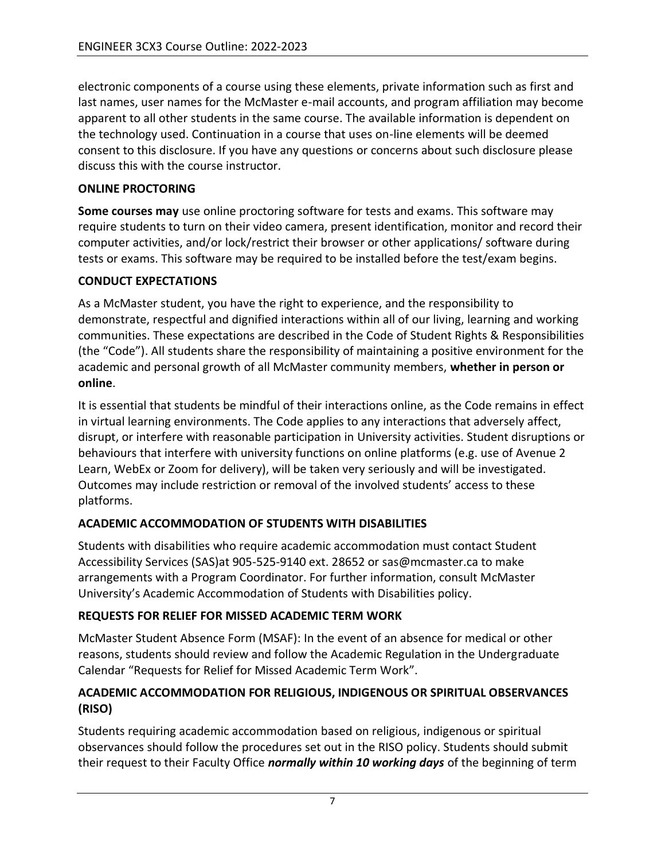electronic components of a course using these elements, private information such as first and last names, user names for the McMaster e-mail accounts, and program affiliation may become apparent to all other students in the same course. The available information is dependent on the technology used. Continuation in a course that uses on-line elements will be deemed consent to this disclosure. If you have any questions or concerns about such disclosure please discuss this with the course instructor.

## **ONLINE PROCTORING**

**Some courses may** use online proctoring software for tests and exams. This software may require students to turn on their video camera, present identification, monitor and record their computer activities, and/or lock/restrict their browser or other applications/ software during tests or exams. This software may be required to be installed before the test/exam begins.

## **CONDUCT EXPECTATIONS**

As a McMaster student, you have the right to experience, and the responsibility to demonstrate, respectful and dignified interactions within all of our living, learning and working communities. These expectations are described in the Code of Student Rights & Responsibilities (the "Code"). All students share the responsibility of maintaining a positive environment for the academic and personal growth of all McMaster community members, **whether in person or online**.

It is essential that students be mindful of their interactions online, as the Code remains in effect in virtual learning environments. The Code applies to any interactions that adversely affect, disrupt, or interfere with reasonable participation in University activities. Student disruptions or behaviours that interfere with university functions on online platforms (e.g. use of Avenue 2 Learn, WebEx or Zoom for delivery), will be taken very seriously and will be investigated. Outcomes may include restriction or removal of the involved students' access to these platforms.

## **ACADEMIC ACCOMMODATION OF STUDENTS WITH DISABILITIES**

Students with disabilities who require academic accommodation must contact Student Accessibility Services (SAS)at 905-525-9140 ext. 28652 or sas@mcmaster.ca to make arrangements with a Program Coordinator. For further information, consult McMaster University's Academic Accommodation of Students with Disabilities policy.

## **REQUESTS FOR RELIEF FOR MISSED ACADEMIC TERM WORK**

McMaster Student Absence Form (MSAF): In the event of an absence for medical or other reasons, students should review and follow the Academic Regulation in the Undergraduate Calendar "Requests for Relief for Missed Academic Term Work".

#### **ACADEMIC ACCOMMODATION FOR RELIGIOUS, INDIGENOUS OR SPIRITUAL OBSERVANCES (RISO)**

Students requiring academic accommodation based on religious, indigenous or spiritual observances should follow the procedures set out in the RISO policy. Students should submit their request to their Faculty Office *normally within 10 working days* of the beginning of term